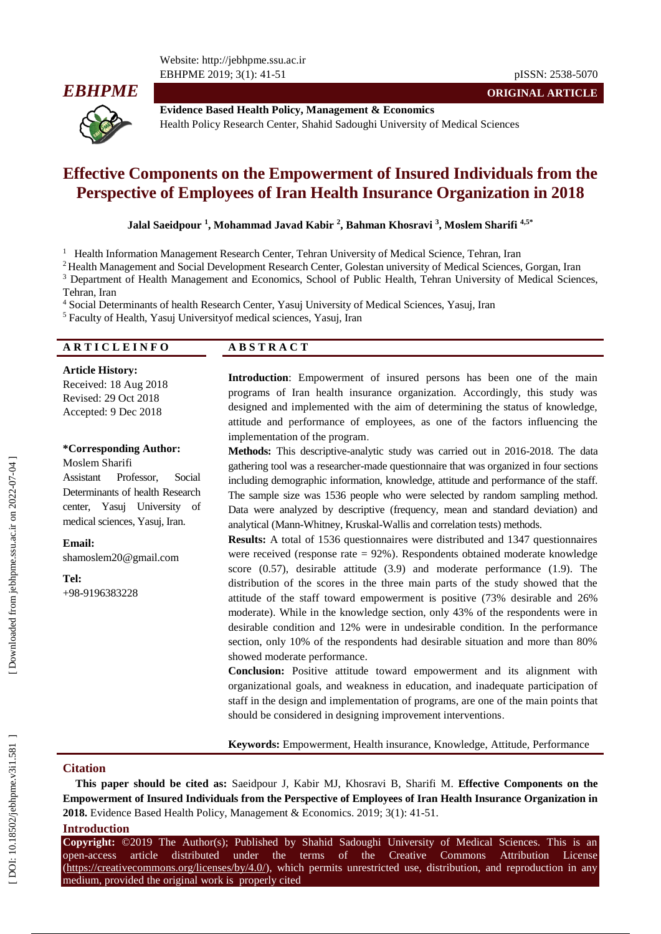Website: http://jebhpme.ssu.ac.ir EBHPME 201 9; 3(1): 41



**Evidence Based Health Policy, Management & Economics** Health Policy Research Center, Shahid Sadoughi University of Medical Sciences

# **Effective Components on the Empowerment of Insured Individuals from the Perspective of Employees of Iran Health Insurance Organization in 2018**

**Jalal Saeidpour 1 , Mohammad Javad Kabir 2 , Bahman Khosravi 3 , Moslem Sharifi 4,5 \***

<sup>1</sup> Health Information Management Research Center, Tehran University of Medical Science, Tehran, Iran

<sup>2</sup> Health Management and Social Development Research Center, Golestan university of Medical Sciences, Gorgan, Iran

<sup>3</sup> Department of Health Management and Economics, School of Public Health, Tehran University of Medical Sciences,

Tehran, Iran

<sup>4</sup> Social Determinants of health Research Center, Yasuj University of Medical Sciences, Yasuj, Iran

5 Faculty of Health, Yasuj Universityof medical sciences, Yasuj, Iran

**Article History:**

Received: 18 Aug 2018 Revised: 29 Oct 2018 Accepted: 9 Dec 2018

#### **\*Corresponding Author:**

Moslem Sharifi Assistant Professor, Social Determinants of health Research center, Yasuj University of medical sciences, Yasuj, Iran.

**Email:** shamoslem20@gmail.com

+98 -9196383228

**Tel:**

# **A R T I C L E I N F O A B S T R A C T**

**Introduction**: Empowerment of insured persons has been one of the main programs of Iran health insurance organization. Accordingly, this study was designed and implemented with the aim of determining the status of knowledge, attitude and performance of employees, as one of the factors influencing the implementation of the program .

Methods: This descriptive-analytic study was carried out in 2016-2018. The data gathering tool was a researcher -made questionnaire that was organized in four sections including demographic information, knowledge, attitude and performance of the staff. The sample size was 1536 people who were selected by random sampling method. Data were analyzed by descriptive (frequency, mean and standard deviation) and analytical (Mann -Whitney, Kruskal -Wallis and correlation tests) methods.

**Results:** A total of 1536 questionnaires were distributed and 1347 questionnaires were received (response rate = 92%). Respondents obtained moderate knowledge score (0.57), desirable attitude (3.9) and moderate performance (1.9). The distribution of the scores in the three main parts of the study showed that the attitude of the staff toward empowerment is positive (73% desirable and 26% moderate). While in the knowledge section, only 43% of the respondents were in desirable condition and 12% were in undesirable condition. In the performance section, only 10% of the respondents had desirable situation and more than 80% showed moderate performance.

**Conclusion:** Positive attitude toward empowerment and its alignment with organizational goals, and weakness in education, and inadequate participation of staff in the design and implementation of programs, are one of the main points that should be considered in designing improvement interventions .

**Keywords:** Empowerment, Health insurance, Knowledge, Attitude, Performance

#### **Citation**

**This paper should be cited as:** Saeidpour J, Kabir MJ, Khosravi B, Sharifi M. **Effective Components on the Empowerment of Insured Individuals from the Perspective of Employees of Iran Health Insurance Organization in**  2018. Evidence Based Health Policy, Management & Economics. 2019; 3(1): 41-51.

#### **Introduction**

**Copyright:** ©2019 The Author(s); Published by Shahid Sadoughi University of Medical Sciences. This is an open-access -access article distributed under the terms of the Creative Commons Attribution License [\(https://creativecommons.org/licenses/by/4.0/\)](https://creativecommons.org/licenses/by/4.0/), which permits unrestricted use, distribution, and reproduction in any medium, provided the original work is properly cited

**ORIGINAL ARTICLE**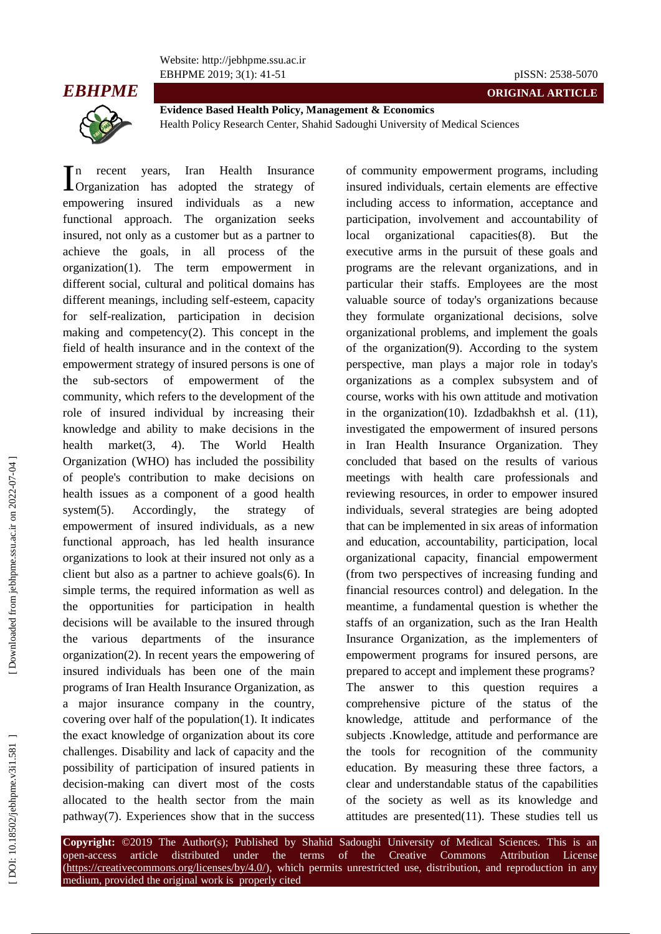Website: http://jebhpme.ssu.ac.ir EBHPME 201 9; 3(1): 41



-51 pISSN: 2538 -5070

**ORIGINAL ARTICLE**



**Evidence Based Health Policy, Management & Economics** Health Policy Research Center, Shahid Sadoughi University of Medical Sciences

In recent years, Iran Health Insurance adopted the strategy of empowering insured individuals as a new functional approach . The organization seeks insured, not only as a customer but as a partner to achieve the goals, in all process of the organization(1) . The term empowerment in different social, cultural and political domains has different meanings, including self -esteem, capacity for self-realization, participation in decision making and competency $(2)$ . This concept in the field of health insurance and in the context of the empowerment strategy of insured persons is one of the sub-sectors of empowerment of the community, which refers to the development of the role of insured individual by increasing their knowledge and ability to make decisions in the health market(3, 4). . The World Health Organization (WHO) has included the possibility of people's contribution to make decisions on health issues as a component of a good health system(5). Accordingly, the strategy of empowerment of insured individuals, as a new functional approach, has led health insurance organizations to look at their insured not only as a client but also as a partner to achieve goals(6) . In simple terms, the required information as well as the opportunities for participation in health decisions will be available to the insured through the various departments of the insurance organization(2). In recent years the empowering of insured individuals has been one of the main programs of Iran Health Insurance Organization, as a major insurance company in the country, covering over half of the population(1). It indicates the exact knowledge of organization about its core challenges. Disability and lack of capacity and the possibility of participation of insured patients in decision -making can divert most of the costs allocated to the health sector from the main pathway(7). Experiences show that in the success **L**Organization has

of community empowerment programs, including insured individuals, certain elements are effective including access to information, acceptance and participation, involvement and accountability of local organizational capacities(8). . But the executive arms in the pursuit of these goals and programs are the relevant organizations, and in particular their staffs. Employees are the most valuable source of today's organizations because they formulate organizational decisions, solve organizational problems, and implement the goals of the organization(9). According to the system perspective, man plays a major role in today's organizations as a complex subsystem and of course, works with his own attitude and motivation in the organization(10) . Izdadbakhsh et al. (11), investigated the empowerment of insured persons in Iran Health Insurance Organization. They concluded that based on the results of various meetings with health care professionals and reviewing resources, in order to empower insured individuals, several strategies are being adopted that can be implemented in six areas of information and education, accountability, participation, local organizational capacity, financial empowerment (from two perspectives of increasing funding and financial resources control) and delegation. In the meantime, a fundamental question is whether the staffs of an organization, such as the Iran Health Insurance Organization, as the implementers of empowerment programs for insured persons, are prepared to accept and implement these programs ? The answer to this question requires comprehensive picture of the status of the knowledge, attitude and performance of the subjects .Knowledge, attitude and performance are the tools for recognition of the community education. By measuring these three factors, a clear and understandable status of the capabilities of the society as well as its knowledge and attitudes are presented(11) . These studies tell us

**Copyright:** ©2019 The Author(s); Published by Shahid Sadoughi University of Medical Sciences. This is an open-access -access article distributed under the terms of the Creative Commons Attribution License [\(https://creativecommons.org/licenses/by/4.0/\)](https://creativecommons.org/licenses/by/4.0/), which permits unrestricted use, distribution, and reproduction in any medium, provided the original work is properly cited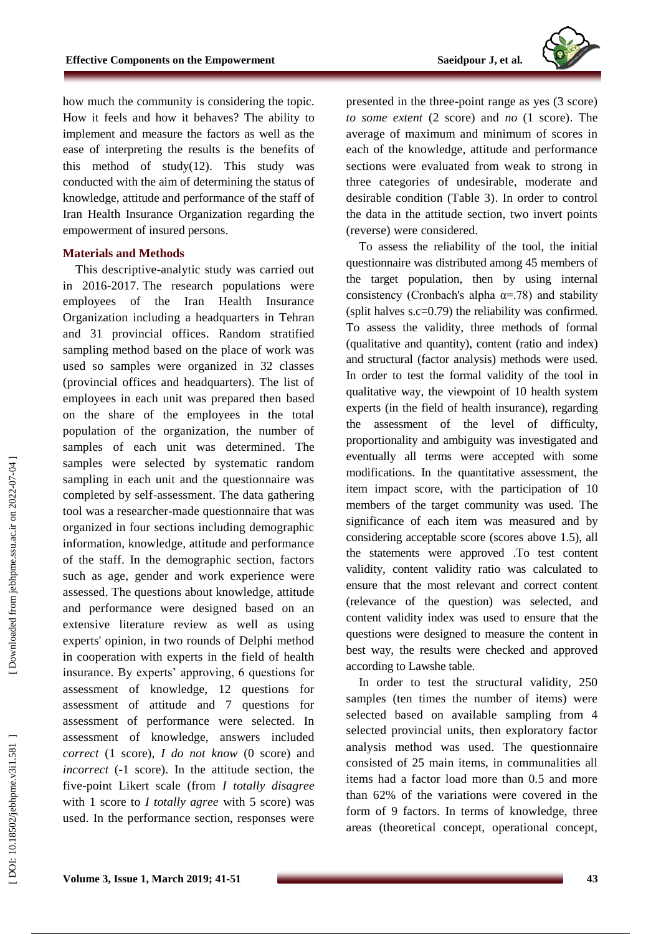

how much the community is considering the topic. How it feels and how it behaves? The ability to implement and measure the factors as well as the ease of interpreting the results is the benefits of this method of study(12) . This study was conducted with the aim of determining the status of knowledge, attitude and performance of the staff of Iran Health Insurance Organization regarding the empowerment of insured persons.

# **Materials and Methods**

This descriptive -analytic study was carried out in 2016 -2017. The research populations were employees of the Iran Health Insurance Organization including a headquarters in Tehran and 31 provincial offices . Random stratified sampling method based on the place of work was used so samples were organized in 32 classes (provincial offices and headquarters). The list of employees in each unit was prepared then based on the share of the employees in the total population of the organization, the number of samples of each unit was determined . The samples were selected by systematic random sampling in each unit and the questionnaire was completed by self -assessment. The data gathering tool was a researcher -made questionnaire that was organized in four sections including demographic information, knowledge, attitude and performance of the staff. In the demographic section, factors such as age, gender and work experience were assessed . The questions about knowledge, attitude and performance were designed based on an extensive literature review as well as using experts' opinion, in two rounds of Delphi method in cooperation with experts in the field of health insurance. By experts' approving, 6 questions for assessment of knowledge, 12 questions for assessment of attitude and 7 questions for assessment of performance were selected. In assessment of knowledge, answers included *correct* (1 score), *I do not know* (0 score) and *incorrect* ( -1 score). In the attitude section, the five -point Likert scale (from *I totally disagree*  with 1 score to *I totally agree* with 5 score) was used. In the performance section, responses were

presented in the three -point range as yes (3 score) *to some extent* (2 score) and *no* (1 score). The average of maximum and minimum of scores in each of the knowledge, attitude and performance sections were evaluated from weak to strong in three categories of undesirable, moderate and desirable condition (Table 3). In order to control the data in the attitude section, two invert points (reverse) were considered.

To assess the reliability of the tool, the initial questionnaire was distributed among 45 members of the target population, then by using internal consistency (Cronbach's alpha  $\alpha$ =.78) and stability (split halves s.c=0.79) the reliability was confirmed. To assess the validity, three methods of formal (qualitative and quantity), content (ratio and index) and structural (factor analysis) methods were used. In order to test the formal validity of the tool in qualitative way, the viewpoint of 10 health system experts (in the field of health insurance), regarding the assessment of the level of difficulty, proportionality and ambiguity was investigated and eventually all terms were accepted with some modifications. In the quantitative assessment, the item impact score, with the participation of 10 members of the target community was used. The significance of each item was measured and by considering acceptable score (scores above 1.5), all the statements were approved .To test content validity, content validity ratio was calculated to ensure that the most relevant and correct content (relevance of the question) was selected, and content validity index was used to ensure that the questions were designed to measure the content in best way, the results were checked and approved according to Lawshe table.

In order to test the structural validity, 250 samples (ten times the number of items) were selected based on available sampling from 4 selected provincial units, then exploratory factor analysis method was used. The questionnaire consisted of 25 main items, in communalities all items had a factor load more than 0.5 and more than 62% of the variations were covered in the form of 9 factors. In terms of knowledge, three areas (theoretical concept, operational concept,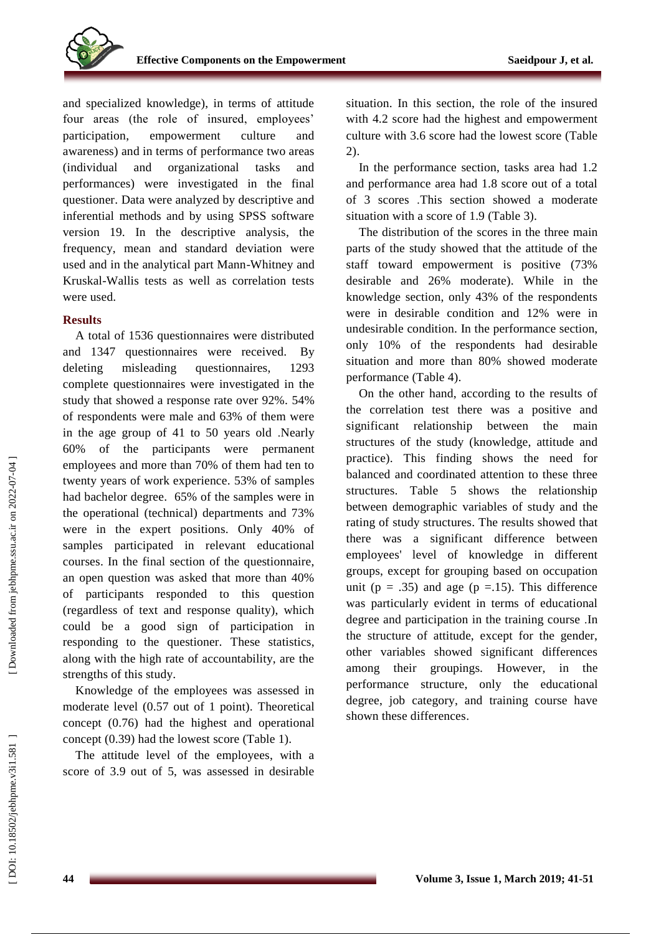

and specialized knowledge), in terms of attitude four areas (the role of insured, employees' participation, empowerment culture and awareness) and in terms of performance two areas (individual and organizational tasks and performances) were investigated in the final questioner. Data were analyzed by descriptive and inferential methods and by using SPSS software version 19. In the descriptive analysis, the frequency, mean and standard deviation were used and in the analytical part Mann -Whitney and Kruskal -Wallis tests as well as correlation tests were used.

#### **Results**

A total of 1536 questionnaires were distributed and 1347 questionnaires were received. By deleting misleading questionnaires, 1293 complete questionnaires were investigated in the study that showed a response rate over 92%. 54% of respondents were male and 63% of them were in the age group of 41 to 50 years old .Nearly 60% of the participants were permanent employees and more than 70% of them had ten to twenty years of work experience. 53% of samples had bachelor degree. 65% of the samples were in the operational (technical) departments and 73% were in the expert positions. Only 40% of samples participated in relevant educational courses . In the final section of the questionnaire, an open question was asked that more than 40% of participants responded to this question (regardless of text and response quality), which could be a good sign of participation in responding to the questioner. These statistics, along with the high rate of accountability, are the strengths of this study.

Knowledge of the employees was assessed in moderate level (0.57 out of 1 point). Theoretical concept (0.76) had the highest and operational concept (0.39) had the lowest score (Table 1).

The attitude level of the employees, with a score of 3.9 out of 5, was assessed in desirable situation. In this section, the role of the insured with 4.2 score had the highest and empowerment culture with 3.6 score had the lowest score (Table 2).

In the performance section, tasks area had 1.2 and performance area had 1.8 score out of a total of 3 scores .This section showed a moderate situation with a score of 1.9 (Table 3).

The distribution of the scores in the three main parts of the study showed that the attitude of the staff toward empowerment is positive (73% desirable and 26% moderate). While in the knowledge section, only 43% of the respondents were in desirable condition and 12% were in undesirable condition. In the performance section, only 10% of the respondents had desirable situation and more than 80% showed moderate performance (Table 4).

On the other hand, according to the results of the correlation test there was a positive and significant relationship between the main structures of the study (knowledge, attitude and practice). This finding shows the need for balanced and coordinated attention to these three structures. Table 5 shows the relationship between demographic variables of study and the rating of study structures. The results showed that there was a significant difference between employees' level of knowledge in different groups, except for grouping based on occupation unit ( $p = .35$ ) and age ( $p = .15$ ). This difference was particularly evident in terms of educational degree and participation in the training course .In the structure of attitude, except for the gender, other variables showed significant differences among their groupings. However, in the performance structure, only the educational degree, job category, and training course have shown these differences .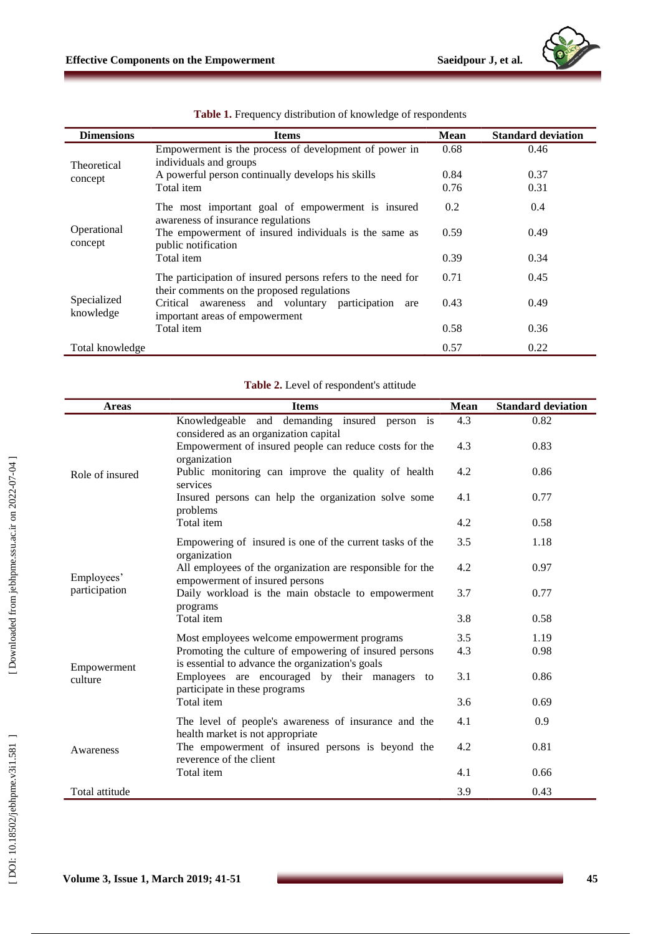| <b>Dimensions</b>        | <b>Items</b>                                                                                              | <b>Mean</b> | <b>Standard deviation</b> |
|--------------------------|-----------------------------------------------------------------------------------------------------------|-------------|---------------------------|
| Theoretical              | Empowerment is the process of development of power in<br>individuals and groups                           | 0.68        | 0.46                      |
| concept                  | A powerful person continually develops his skills                                                         | 0.84        | 0.37                      |
|                          | Total item                                                                                                | 0.76        | 0.31                      |
|                          | The most important goal of empowerment is insured<br>awareness of insurance regulations                   | 0.2         | 0.4                       |
| Operational<br>concept   | The empowerment of insured individuals is the same as<br>public notification                              | 0.59        | 0.49                      |
|                          | Total item                                                                                                | 0.39        | 0.34                      |
|                          | The participation of insured persons refers to the need for<br>their comments on the proposed regulations | 0.71        | 0.45                      |
| Specialized<br>knowledge | Critical awareness and voluntary participation<br>are<br>important areas of empowerment                   | 0.43        | 0.49                      |
|                          | Total item                                                                                                | 0.58        | 0.36                      |
| Total knowledge          |                                                                                                           | 0.57        | 0.22                      |

|  |  |  |  | Table 1. Frequency distribution of knowledge of respondents |
|--|--|--|--|-------------------------------------------------------------|
|--|--|--|--|-------------------------------------------------------------|

| Table 2. Level of respondent's attitude |
|-----------------------------------------|
|-----------------------------------------|

| <b>Areas</b>    | <b>Items</b>                                                                                               | <b>Mean</b> | <b>Standard deviation</b> |
|-----------------|------------------------------------------------------------------------------------------------------------|-------------|---------------------------|
|                 | Knowledgeable and<br>demanding insured person is<br>considered as an organization capital                  | 4.3         | 0.82                      |
|                 | Empowerment of insured people can reduce costs for the<br>organization                                     | 4.3         | 0.83                      |
| Role of insured | Public monitoring can improve the quality of health<br>services                                            | 4.2         | 0.86                      |
|                 | Insured persons can help the organization solve some<br>problems                                           | 4.1         | 0.77                      |
|                 | Total item                                                                                                 | 4.2         | 0.58                      |
|                 | Empowering of insured is one of the current tasks of the<br>organization                                   | 3.5         | 1.18                      |
| Employees'      | All employees of the organization are responsible for the<br>empowerment of insured persons                | 4.2         | 0.97                      |
| participation   | Daily workload is the main obstacle to empowerment<br>programs                                             | 3.7         | 0.77                      |
|                 | Total item                                                                                                 | 3.8         | 0.58                      |
|                 | Most employees welcome empowerment programs                                                                | 3.5         | 1.19                      |
| Empowerment     | Promoting the culture of empowering of insured persons<br>is essential to advance the organization's goals | 4.3         | 0.98                      |
| culture         | Employees are encouraged by their managers<br>to<br>participate in these programs                          | 3.1         | 0.86                      |
|                 | Total item                                                                                                 | 3.6         | 0.69                      |
| Awareness       | The level of people's awareness of insurance and the<br>health market is not appropriate                   | 4.1         | 0.9                       |
|                 | The empowerment of insured persons is beyond the<br>reverence of the client                                | 4.2         | 0.81                      |
|                 | Total item                                                                                                 | 4.1         | 0.66                      |
| Total attitude  |                                                                                                            | 3.9         | 0.43                      |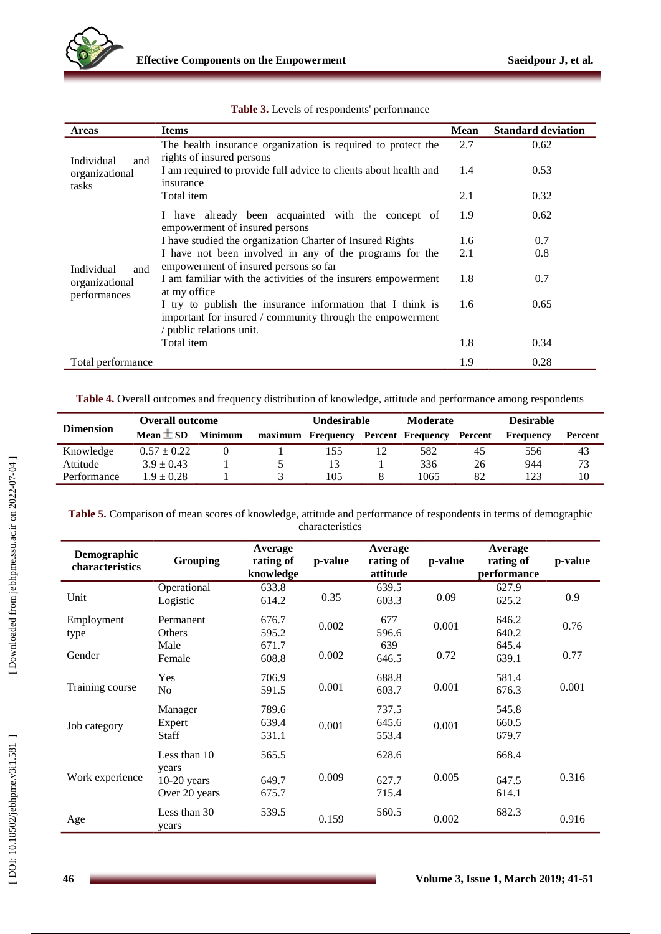

| <b>Areas</b>                                        | <b>Items</b>                                                                                                                                        | <b>Mean</b> | <b>Standard deviation</b> |
|-----------------------------------------------------|-----------------------------------------------------------------------------------------------------------------------------------------------------|-------------|---------------------------|
| Individual<br>and<br>organizational<br>tasks        | The health insurance organization is required to protect the                                                                                        | 2.7         | 0.62                      |
|                                                     | rights of insured persons<br>I am required to provide full advice to clients about health and<br>insurance                                          | 1.4         | 0.53                      |
|                                                     | Total item                                                                                                                                          | 2.1         | 0.32                      |
|                                                     | I have already been acquainted with the concept of<br>empowerment of insured persons                                                                | 1.9         | 0.62                      |
|                                                     | I have studied the organization Charter of Insured Rights                                                                                           | 1.6         | 0.7                       |
| Individual<br>and<br>organizational<br>performances | I have not been involved in any of the programs for the<br>empowerment of insured persons so far                                                    | 2.1         | 0.8                       |
|                                                     | I am familiar with the activities of the insurers empowerment<br>at my office                                                                       | 1.8         | 0.7                       |
|                                                     | I try to publish the insurance information that I think is<br>important for insured / community through the empowerment<br>/ public relations unit. | 1.6         | 0.65                      |
|                                                     | Total item                                                                                                                                          | 1.8         | 0.34                      |
| Total performance                                   |                                                                                                                                                     | 1.9         | 0.28                      |

**Table 3.** Levels of respondents' performance

**Table 4.** Overall outcomes and frequency distribution of knowledge, attitude and performance among respondents

|                  | <b>Overall outcome</b> |                | Undesirable |           | <b>Moderate</b> |                          | <b>Desirable</b> |           |         |
|------------------|------------------------|----------------|-------------|-----------|-----------------|--------------------------|------------------|-----------|---------|
| <b>Dimension</b> | Mean $\pm$ SD          | <b>Minimum</b> | maximum     | Frequency |                 | <b>Percent Frequency</b> | Percent          | Frequency | Percent |
| Knowledge        | $0.57 \pm 0.22$        |                |             | 155       |                 | 582                      | 45               | 556       | 43      |
| Attitude         | $3.9 \pm 0.43$         |                |             | 13        |                 | 336                      | 26               | 944       | 73      |
| Performance      | $1.9 \pm 0.28$         |                |             | 105       |                 | 1065                     | 82               | 123       | 10      |

**Table 5.** Comparison of mean scores of knowledge, attitude and performance of respondents in terms of demographic characteristics

| Demographic<br>characteristics | Grouping                               | Average<br>rating of    | p-value | Average<br>rating of    | p-value | Average<br>rating of    | p-value |
|--------------------------------|----------------------------------------|-------------------------|---------|-------------------------|---------|-------------------------|---------|
|                                |                                        | knowledge               |         | attitude                |         | performance             |         |
| Unit                           | Operational<br>Logistic                | 633.8<br>614.2          | 0.35    | 639.5<br>603.3          | 0.09    | 627.9<br>625.2          | 0.9     |
| Employment<br>type             | Permanent<br>Others                    | 676.7<br>595.2          | 0.002   | 677<br>596.6            | 0.001   | 646.2<br>640.2          | 0.76    |
| Gender                         | Male<br>Female                         | 671.7<br>608.8          | 0.002   | 639<br>646.5            | 0.72    | 645.4<br>639.1          | 0.77    |
| Training course                | Yes<br>No.                             | 706.9<br>591.5          | 0.001   | 688.8<br>603.7          | 0.001   | 581.4<br>676.3          | 0.001   |
| Job category                   | Manager<br>Expert<br>Staff             | 789.6<br>639.4<br>531.1 | 0.001   | 737.5<br>645.6<br>553.4 | 0.001   | 545.8<br>660.5<br>679.7 |         |
| Work experience                | Less than 10<br>years<br>$10-20$ years | 565.5<br>649.7          | 0.009   | 628.6<br>627.7          | 0.005   | 668.4<br>647.5          | 0.316   |
|                                | Over 20 years                          | 675.7                   |         | 715.4                   |         | 614.1                   |         |
| Age                            | Less than 30<br>years                  | 539.5                   | 0.159   | 560.5                   | 0.002   | 682.3                   | 0.916   |

 $\blacksquare$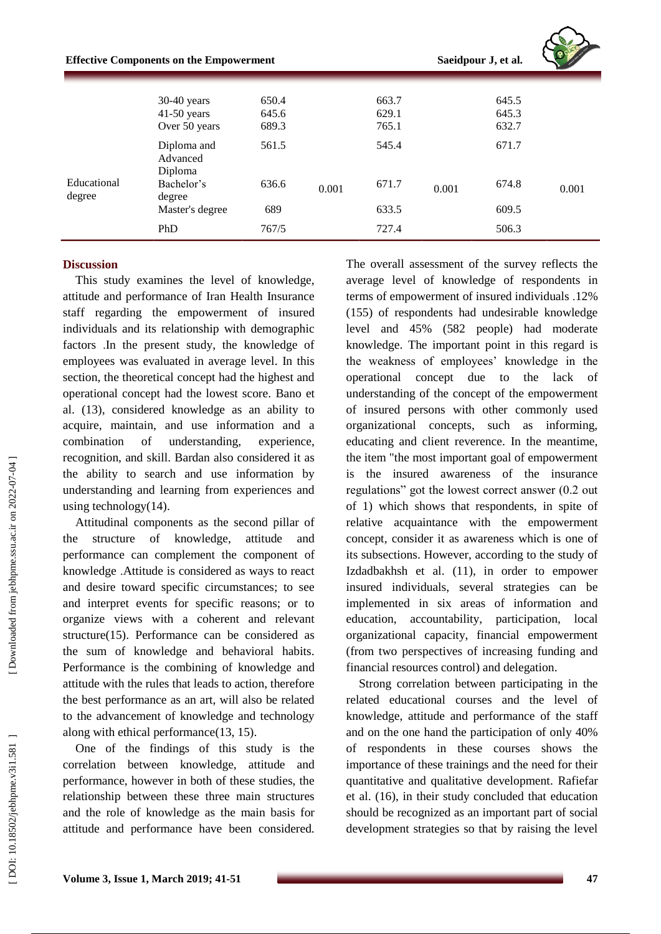|             | <b>Effective Components on the Empowerment</b>   |                         |       |                         |       | Saeidpour J, et al.     |       |
|-------------|--------------------------------------------------|-------------------------|-------|-------------------------|-------|-------------------------|-------|
|             | $30-40$ years<br>$41-50$ years<br>Over 50 years  | 650.4<br>645.6<br>689.3 |       | 663.7<br>629.1<br>765.1 |       | 645.5<br>645.3<br>632.7 |       |
| Educational | Diploma and<br>Advanced<br>Diploma<br>Bachelor's | 561.5<br>636.6          |       | 545.4<br>671.7          |       | 671.7<br>674.8          |       |
| degree      | degree<br>Master's degree                        | 689                     | 0.001 | 633.5                   | 0.001 | 609.5                   | 0.001 |
|             | PhD                                              | 767/5                   |       | 727.4                   |       | 506.3                   |       |

### **Discussion**

This study examines the level of knowledge, attitude and performance of Iran Health Insurance staff regarding the empowerment of insured individuals and its relationship with demographic factors .In the present study, the knowledge of employees was evaluated in average level. In this section, the theoretical concept had the highest and operational concept had the lowest score. Ban o et al. (13) , considered knowledge as an ability to acquire, maintain, and use information and a combination of understanding, experience, recognition, and skill. Bardan also considered it as the ability to search and use information by understanding and learning from experiences and using technology(14) .

Attitudinal components as the second pillar of the structure of knowledge, attitude and performance can complement the component of knowledge .Attitude is considered as ways to react and desire toward specific circumstances; to see and interpret events for specific reasons; or to organize views with a coherent and relevant structure(15) . Performance can be considered as the sum of knowledge and behavioral habits. Performance is the combining of knowledge and attitude with the rules that leads to action, therefore the best performance as an art, will also be related to the advancement of knowledge and technology along with ethical performance(13, 15) .

One of the findings of this study is the correlation between knowledge, attitude and performance, however in both of these studies, the relationship between these three main structures and the role of knowledge as the main basis for attitude and performance have been considered.

The overall assessment of the survey reflects the average level of knowledge of respondents in terms of empowerment of insured individuals .12% (155) of respondents had undesirable knowledge level and 45% (582 people) had moderate knowledge. The important point in this regard is the weakness of employees' knowledge in the operational concept due to the lack of understanding of the concept of the empowerment of insured persons with other commonly used organizational concepts, such as informing, educating and client reverence. In the meantime, the item "the most important goal of empowerment is the insured awareness of the insurance regulations" got the lowest correct answer (0.2 out of 1) which shows that respondents, in spite of relative acquaintance with the empowerment concept, consider it as awareness which is one of its subsections. However, according to the study of Izdadbakhsh et al . (11), in order to empower insured individuals, several strategies can be implemented in six areas of information and education, accountability, participation, local organizational capacity, financial empowerment (from two perspectives of increasing funding and financial resources control) and delegation.

Strong correlation between participating in the related educational courses and the level of knowledge, attitude and performance of the staff and on the one hand the participation of only 40% of respondents in these courses shows the importance of these trainings and the need for their quantitative and qualitative development . Rafiefar et al. (16) , in their study concluded that education should be recognized as an important part of social development strategies so that by raising the level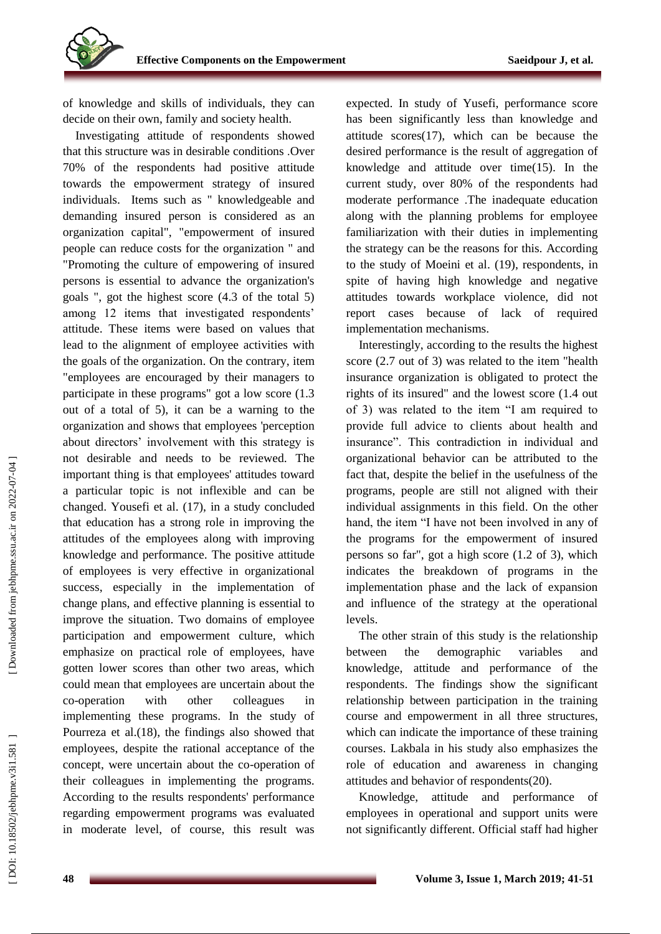of knowledge and skills of individuals, they can decide on their own, family and society health.

Investigating attitude of respondents showed that this structure was in desirable conditions .Over 70% of the respondents had positive attitude towards the empowerment strategy of insured individuals. Items such as " knowledgeable and demanding insured person is considered as an organization capital", "empowerment of insured people can reduce costs for the organization " and "Promoting the culture of empowering of insured persons is essential to advance the organization's goals ", got the highest score (4.3 of the total 5) among 12 items that investigated respondents' attitude. These items were based on values that lead to the alignment of employee activities with the goals of the organization. On the contrary, item "employees are encouraged by their managers to participate in these programs" got a low score (1.3 out of a total of 5), it can be a warning to the organization and shows that employees 'perception about directors' involvement with this strategy is not desirable and needs to be reviewed. The important thing is that employees' attitudes toward a particular topic is not inflexible and can be changed. Yousefi et al. (17) , in a study concluded that education has a strong role in improving the attitudes of the employees along with improving knowledge and performance. The positive attitude of employees is very effective in organizational success, especially in the implementation of change plans, and effective planning is essential to improve the situation. Two domains of employee participation and empowerment culture, which emphasize on practical role of employees, have gotten lower scores than other two areas, which could mean that employees are uncertain about the co-operation with other colleagues in implementing these programs. In the study of Pourreza et al.(18) , the findings also showed that employees, despite the rational acceptance of the concept, were uncertain about the co -operation of their colleagues in implementing the programs. According to the results respondents' performance regarding empowerment programs was evaluated in moderate level, of course, this result was

expected. In study of Yusefi, performance score has been significantly less than knowledge and attitude scores(17), which can be because the desired performance is the result of aggregation of knowledge and attitude over time(15). In the current study, over 80% of the respondents had moderate performance .The inadequate education along with the planning problems for employee familiarization with their duties in implementing the strategy can be the reasons for this. According to the study of Moeini et al . (19) , respondents, in spite of having high knowledge and negative attitudes towards workplace violence, did not report cases because of lack of required implementation mechanisms.

Interestingly, according to the results the highest score (2.7 out of 3) was related to the item "health insurance organization is obligated to protect the rights of its insured" and the lowest score (1.4 out of 3) was related to the item "I am required to provide full advice to clients about health and insurance". This contradiction in individual and organizational behavior can be attributed to the fact that, despite the belief in the usefulness of the programs, people are still not aligned with their individual assignments in this field . On the other hand, the item "I have not been involved in any of the programs for the empowerment of insured persons so far", got a high score (1.2 of 3), which indicates the breakdown of programs in the implementation phase and the lack of expansion and influence of the strategy at the operational levels.

The other strain of this study is the relationship between the demographic variables and knowledge, attitude and performance of the respondents . The findings show the significant relationship between participation in the training course and empowerment in all three structures, which can indicate the importance of these training courses. Lakbala in his study also emphasizes the role of education and awareness in changing attitudes and behavior of respondents(20) .

Knowledge, attitude and performance of employees in operational and support units were not significantly different. Official staff had higher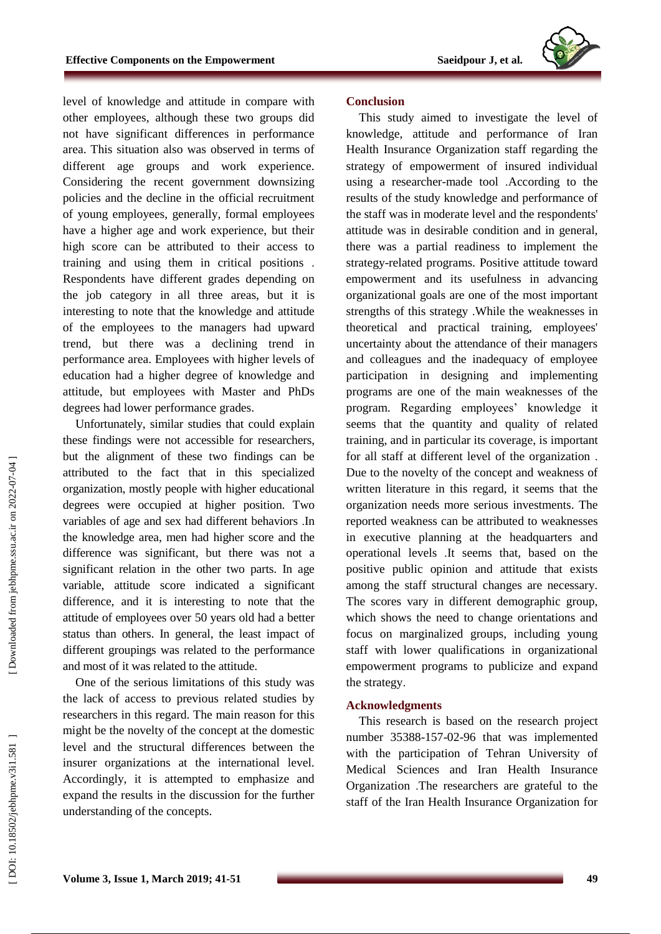

level of knowledge and attitude in compare with other employees, although these two groups did not have significant differences in performance area. This situation also was observed in terms of different age groups and work experience. Considering the recent government downsizing policies and the decline in the official recruitment of young employees, generally, formal employees have a higher age and work experience, but their high score can be attributed to their access to training and using them in critical positions . Respondents have different grades depending on the job category in all three areas, but it is interesting to note that the knowledge and attitude of the employees to the managers had upward trend, but there was a declining trend in performance area. Employees with higher levels of education had a higher degree of knowledge and attitude, but employees with Master and PhDs degrees had lower performance grades.

Unfortunately, similar studies that could explain these findings were not accessible for researchers, but the alignment of these two findings can be attributed to the fact that in this specialized organization, mostly people with higher educational degrees were occupied at higher position. Two variables of age and sex had different behaviors .In the knowledge area, men had higher score and the difference was significant, but there was not a significant relation in the other two parts. In age variable, attitude score indicated a significant difference, and it is interesting to note that the attitude of employees over 50 years old had a better status than others. In general, the least impact of different groupings was related to the performance and most of it was related to the attitude.

One of the serious limitations of this study was the lack of access to previous related studies by researchers in this regard. The main reason for this might be the novelty of the concept at the domestic level and the structural differences between the insurer organizations at the international level. Accordingly, it is attempted to emphasize and expand the results in the discussion for the further understanding of the concepts.

#### **Conclusion**

This study aimed to investigate the level of knowledge, attitude and performance of Iran Health Insurance Organization staff regarding the strategy of empowerment of insured individual using a researcher -made tool .According to the results of the study knowledge and performance of the staff was in moderate level and the respondents' attitude was in desirable condition and in general, there was a partial readiness to implement the strategy -related programs. Positive attitude toward empowerment and its usefulness in advancing organizational goals are one of the most important strengths of this strategy .While the weaknesses in theoretical and practical training, employees' uncertainty about the attendance of their managers and colleagues and the inadequacy of employee participation in designing and implementing programs are one of the main weaknesses of the program. Regarding employees' knowledge it seems that the quantity and quality of related training, and in particular its coverage, is important for all staff at different level of the organization . Due to the novelty of the concept and weakness of written literature in this regard, it seems that the organization needs more serious investments. The reported weakness can be attributed to weaknesses in executive planning at the headquarters and operational levels .It seems that, based on the positive public opinion and attitude that exists among the staff structural changes are necessary. The scores vary in different demographic group, which shows the need to change orientations and focus on marginalized groups, including young staff with lower qualifications in organizational empowerment programs to publicize and expand the strategy .

#### **Acknowledgment s**

This research is based on the research project number 35388 -157 -02 -96 that was implemented with the participation of Tehran University of Medical Sciences and Iran Health Insurance Organization .The researchers are grateful to the staff of the Iran Health Insurance Organization for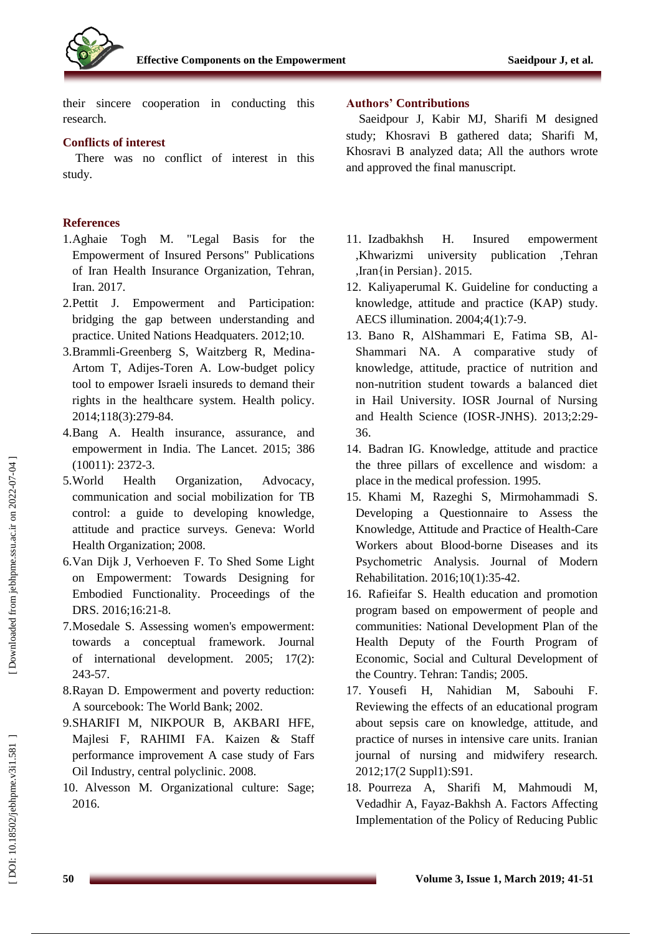

their sincere cooperation in conducting this research.

# **Conflict s of interest**

There was no conflict of interest in this study.

# **References**

- 1.Aghaie Togh M. "Legal Basis for the Empowerment of Insured Persons" Publications of Iran Health Insurance Organization, Tehran, Iran. 2017.
- 2.Pettit J. Empowerment and Participation: bridging the gap between understanding and practice. United Nations Headquaters. 2012;10.
- 3.Brammli -Greenberg S, Waitzberg R, Medina Artom T, Adijes -Toren A. Low -budget policy tool to empower Israeli insureds to demand their rights in the healthcare system. Health policy. 2014;118(3):279 -84.
- 4.Bang A. Health insurance, assurance, and empowerment in India. The Lancet. 2015; 386 (10011): 2372 -3.
- 5.World Health Organization, Advocacy, communication and social mobilization for TB control: a guide to developing knowledge, attitude and practice surveys. Geneva: World Health Organization; 2008.
- 6.Van Dijk J, Verhoeven F. To Shed Some Light on Empowerment: Towards Designing for Embodied Functionality. Proceedings of the DRS. 2016;16:21 -8.
- 7.Mosedale S. Assessing women's empowerment: towards a conceptual framework. Journal of international development. 2005; 17(2): 243 -57.
- 8.Rayan D. Empowerment and poverty reduction: A sourcebook: The World Bank; 2002.
- 9.SHARIFI M, NIKPOUR B, AKBARI HFE, Majlesi F, RAHIMI FA. Kaizen & Staff performance improvement A case study of Fars Oil Industry, central polyclinic. 2008.
- 10. Alvesson M. Organizational culture: Sage; 2016.

# **Authors' Contributions**

Saeidpour J, Kabir MJ, Sharifi M designed study; Khosravi B gathered data; Sharifi M, Khosravi B analyzed data; All the authors wrote and approved the final manuscript.

- 11. Izadbakhsh H. Insured empowerment ,Khwarizmi university publication ,Tehran ,Iran{in Persian}. 2015.
- 12. Kaliyaperumal K. Guideline for conducting a knowledge, attitude and practice (KAP) study. AECS illumination. 2004;4(1):7 -9.
- 13. Bano R, AlShammari E, Fatima SB, Al Shammari NA. A comparative study of knowledge, attitude, practice of nutrition and non -nutrition student towards a balanced diet in Hail University. IOSR Journal of Nursing and Health Science (IOSR -JNHS). 2013;2:29 - 36.
- 14. Badran IG. Knowledge, attitude and practice the three pillars of excellence and wisdom: a place in the medical profession. 1995.
- 15. Khami M, Razeghi S, Mirmohammadi S. Developing a Questionnaire to Assess the Knowledge, Attitude and Practice of Health -Care Workers about Blood -borne Diseases and its Psychometric Analysis. Journal of Modern Rehabilitation. 2016;10(1):35 -42.
- 16. Rafieifar S. Health education and promotion program based on empowerment of people and communities: National Development Plan of the Health Deputy of the Fourth Program of Economic, Social and Cultural Development of the Country. Tehran: Tandis; 2005.
- 17. Yousefi H, Nahidian M, Sabouhi F. Reviewing the effects of an educational program about sepsis care on knowledge, attitude, and practice of nurses in intensive care units. Iranian journal of nursing and midwifery research. 2012;17(2 Suppl1):S91.
- 18. Pourreza A, Sharifi M, Mahmoudi M, Vedadhir A, Fayaz -Bakhsh A. Factors Affecting Implementation of the Policy of Reducing Public